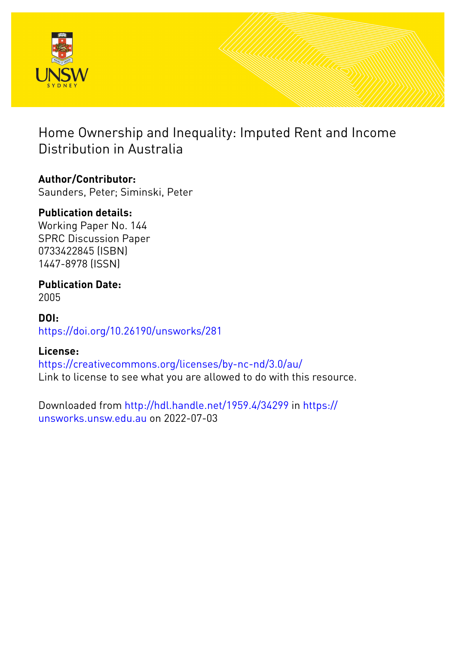

# Home Ownership and Inequality: Imputed Rent and Income Distribution in Australia

# **Author/Contributor:**

Saunders, Peter; Siminski, Peter

# **Publication details:**

Working Paper No. 144 SPRC Discussion Paper 0733422845 (ISBN) 1447-8978 (ISSN)

## **Publication Date:** 2005

# **DOI:** [https://doi.org/10.26190/unsworks/281](http://dx.doi.org/https://doi.org/10.26190/unsworks/281)

# **License:**

<https://creativecommons.org/licenses/by-nc-nd/3.0/au/> Link to license to see what you are allowed to do with this resource.

Downloaded from <http://hdl.handle.net/1959.4/34299> in [https://](https://unsworks.unsw.edu.au) [unsworks.unsw.edu.au](https://unsworks.unsw.edu.au) on 2022-07-03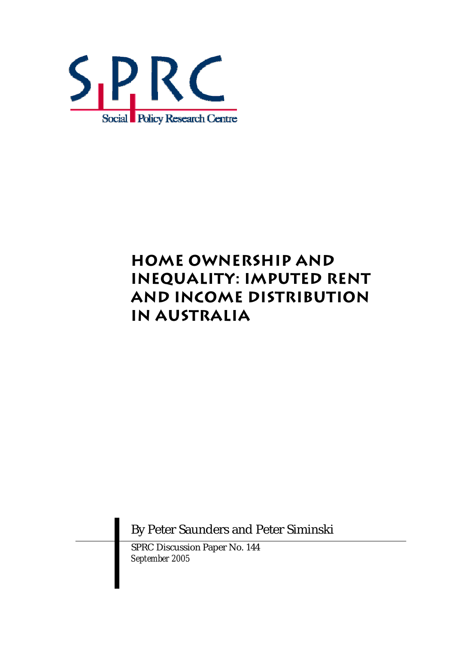

# **HOME OWNERSHIP AND INEQUALITY: IMPUTED RENT AND INCOME DISTRIBUTION IN AUSTRALIA**

By Peter Saunders and Peter Siminski

SPRC Discussion Paper No. 144 *September 2005*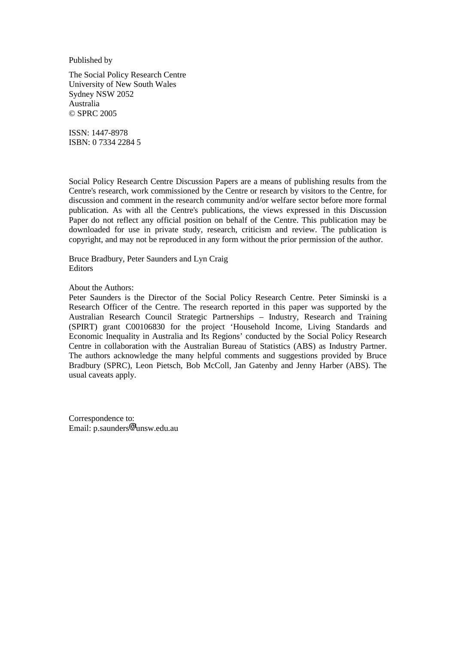Published by

The Social Policy Research Centre University of New South Wales Sydney NSW 2052 Australia © SPRC 2005

ISSN: 1447-8978 ISBN: 0 7334 2284 5

Social Policy Research Centre Discussion Papers are a means of publishing results from the Centre's research, work commissioned by the Centre or research by visitors to the Centre, for discussion and comment in the research community and/or welfare sector before more formal publication. As with all the Centre's publications, the views expressed in this Discussion Paper do not reflect any official position on behalf of the Centre. This publication may be downloaded for use in private study, research, criticism and review. The publication is copyright, and may not be reproduced in any form without the prior permission of the author.

Bruce Bradbury, Peter Saunders and Lyn Craig **Editors** 

About the Authors:

Peter Saunders is the Director of the Social Policy Research Centre. Peter Siminski is a Research Officer of the Centre. The research reported in this paper was supported by the Australian Research Council Strategic Partnerships – Industry, Research and Training (SPIRT) grant C00106830 for the project 'Household Income, Living Standards and Economic Inequality in Australia and Its Regions' conducted by the Social Policy Research Centre in collaboration with the Australian Bureau of Statistics (ABS) as Industry Partner. The authors acknowledge the many helpful comments and suggestions provided by Bruce Bradbury (SPRC), Leon Pietsch, Bob McColl, Jan Gatenby and Jenny Harber (ABS). The usual caveats apply.

Correspondence to: Email: p.saunders unsw.edu.au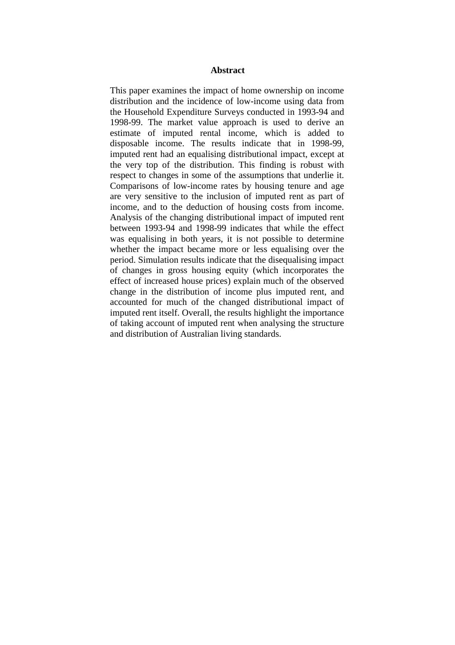#### **Abstract**

This paper examines the impact of home ownership on income distribution and the incidence of low-income using data from the Household Expenditure Surveys conducted in 1993-94 and 1998-99. The market value approach is used to derive an estimate of imputed rental income, which is added to disposable income. The results indicate that in 1998-99, imputed rent had an equalising distributional impact, except at the very top of the distribution. This finding is robust with respect to changes in some of the assumptions that underlie it. Comparisons of low-income rates by housing tenure and age are very sensitive to the inclusion of imputed rent as part of income, and to the deduction of housing costs from income. Analysis of the changing distributional impact of imputed rent between 1993-94 and 1998-99 indicates that while the effect was equalising in both years, it is not possible to determine whether the impact became more or less equalising over the period. Simulation results indicate that the disequalising impact of changes in gross housing equity (which incorporates the effect of increased house prices) explain much of the observed change in the distribution of income plus imputed rent, and accounted for much of the changed distributional impact of imputed rent itself. Overall, the results highlight the importance of taking account of imputed rent when analysing the structure and distribution of Australian living standards.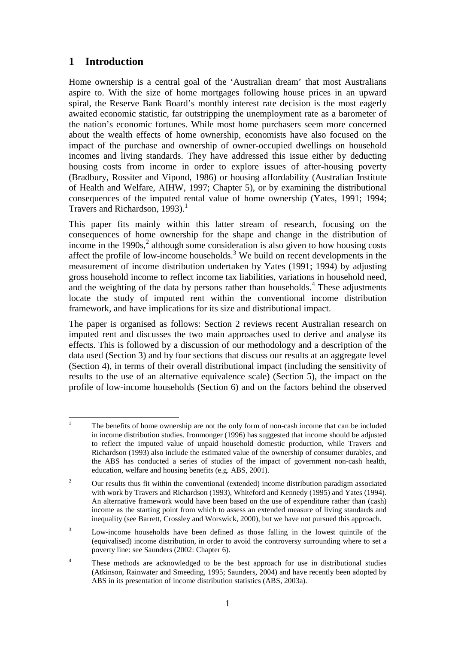## **1 Introduction**

Home ownership is a central goal of the 'Australian dream' that most Australians aspire to. With the size of home mortgages following house prices in an upward spiral, the Reserve Bank Board's monthly interest rate decision is the most eagerly awaited economic statistic, far outstripping the unemployment rate as a barometer of the nation's economic fortunes. While most home purchasers seem more concerned about the wealth effects of home ownership, economists have also focused on the impact of the purchase and ownership of owner-occupied dwellings on household incomes and living standards. They have addressed this issue either by deducting housing costs from income in order to explore issues of after-housing poverty (Bradbury, Rossiter and Vipond, 1986) or housing affordability (Australian Institute of Health and Welfare, AIHW, 1997; Chapter 5), or by examining the distributional consequences of the imputed rental value of home ownership (Yates, 1991; 1994; Travers and Richardson, 1993).<sup>1</sup>

This paper fits mainly within this latter stream of research, focusing on the consequences of home ownership for the shape and change in the distribution of income in the  $1990s$ ,<sup>2</sup> although some consideration is also given to how housing costs affect the profile of low-income households. $3$  We build on recent developments in the measurement of income distribution undertaken by Yates (1991; 1994) by adjusting gross household income to reflect income tax liabilities, variations in household need, and the weighting of the data by persons rather than households.<sup>4</sup> These adjustments locate the study of imputed rent within the conventional income distribution framework, and have implications for its size and distributional impact.

The paper is organised as follows: Section 2 reviews recent Australian research on imputed rent and discusses the two main approaches used to derive and analyse its effects. This is followed by a discussion of our methodology and a description of the data used (Section 3) and by four sections that discuss our results at an aggregate level (Section 4), in terms of their overall distributional impact (including the sensitivity of results to the use of an alternative equivalence scale) (Section 5), the impact on the profile of low-income households (Section 6) and on the factors behind the observed

 $\frac{1}{1}$  The benefits of home ownership are not the only form of non-cash income that can be included in income distribution studies. Ironmonger (1996) has suggested that income should be adjusted to reflect the imputed value of unpaid household domestic production, while Travers and Richardson (1993) also include the estimated value of the ownership of consumer durables, and the ABS has conducted a series of studies of the impact of government non-cash health, education, welfare and housing benefits (e.g. ABS, 2001).

<sup>2</sup> Our results thus fit within the conventional (extended) income distribution paradigm associated with work by Travers and Richardson (1993), Whiteford and Kennedy (1995) and Yates (1994). An alternative framework would have been based on the use of expenditure rather than (cash) income as the starting point from which to assess an extended measure of living standards and inequality (see Barrett, Crossley and Worswick, 2000), but we have not pursued this approach.

<sup>3</sup> Low-income households have been defined as those falling in the lowest quintile of the (equivalised) income distribution, in order to avoid the controversy surrounding where to set a poverty line: see Saunders (2002: Chapter 6).

<sup>4</sup> These methods are acknowledged to be the best approach for use in distributional studies (Atkinson, Rainwater and Smeeding, 1995; Saunders, 2004) and have recently been adopted by ABS in its presentation of income distribution statistics (ABS, 2003a).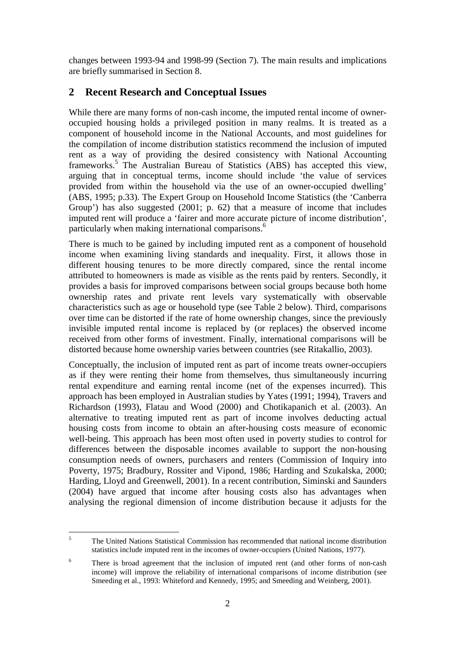changes between 1993-94 and 1998-99 (Section 7). The main results and implications are briefly summarised in Section 8.

## **2 Recent Research and Conceptual Issues**

While there are many forms of non-cash income, the imputed rental income of owneroccupied housing holds a privileged position in many realms. It is treated as a component of household income in the National Accounts, and most guidelines for the compilation of income distribution statistics recommend the inclusion of imputed rent as a way of providing the desired consistency with National Accounting frameworks.<sup>5</sup> The Australian Bureau of Statistics (ABS) has accepted this view, arguing that in conceptual terms, income should include 'the value of services provided from within the household via the use of an owner-occupied dwelling' (ABS, 1995; p.33). The Expert Group on Household Income Statistics (the 'Canberra Group') has also suggested (2001; p. 62) that a measure of income that includes imputed rent will produce a 'fairer and more accurate picture of income distribution', particularly when making international comparisons.<sup>6</sup>

There is much to be gained by including imputed rent as a component of household income when examining living standards and inequality. First, it allows those in different housing tenures to be more directly compared, since the rental income attributed to homeowners is made as visible as the rents paid by renters. Secondly, it provides a basis for improved comparisons between social groups because both home ownership rates and private rent levels vary systematically with observable characteristics such as age or household type (see Table 2 below). Third, comparisons over time can be distorted if the rate of home ownership changes, since the previously invisible imputed rental income is replaced by (or replaces) the observed income received from other forms of investment. Finally, international comparisons will be distorted because home ownership varies between countries (see Ritakallio, 2003).

Conceptually, the inclusion of imputed rent as part of income treats owner-occupiers as if they were renting their home from themselves, thus simultaneously incurring rental expenditure and earning rental income (net of the expenses incurred). This approach has been employed in Australian studies by Yates (1991; 1994), Travers and Richardson (1993), Flatau and Wood (2000) and Chotikapanich et al. (2003). An alternative to treating imputed rent as part of income involves deducting actual housing costs from income to obtain an after-housing costs measure of economic well-being. This approach has been most often used in poverty studies to control for differences between the disposable incomes available to support the non-housing consumption needs of owners, purchasers and renters (Commission of Inquiry into Poverty, 1975; Bradbury, Rossiter and Vipond, 1986; Harding and Szukalska, 2000; Harding, Lloyd and Greenwell, 2001). In a recent contribution, Siminski and Saunders (2004) have argued that income after housing costs also has advantages when analysing the regional dimension of income distribution because it adjusts for the

 $\frac{1}{5}$  The United Nations Statistical Commission has recommended that national income distribution statistics include imputed rent in the incomes of owner-occupiers (United Nations, 1977).

<sup>6</sup> There is broad agreement that the inclusion of imputed rent (and other forms of non-cash income) will improve the reliability of international comparisons of income distribution (see Smeeding et al., 1993: Whiteford and Kennedy, 1995; and Smeeding and Weinberg, 2001).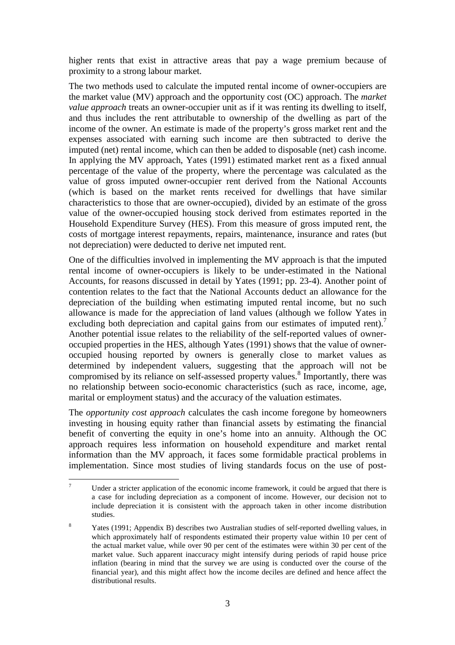higher rents that exist in attractive areas that pay a wage premium because of proximity to a strong labour market.

The two methods used to calculate the imputed rental income of owner-occupiers are the market value (MV) approach and the opportunity cost (OC) approach. The *market value approach* treats an owner-occupier unit as if it was renting its dwelling to itself, and thus includes the rent attributable to ownership of the dwelling as part of the income of the owner. An estimate is made of the property's gross market rent and the expenses associated with earning such income are then subtracted to derive the imputed (net) rental income, which can then be added to disposable (net) cash income. In applying the MV approach, Yates (1991) estimated market rent as a fixed annual percentage of the value of the property, where the percentage was calculated as the value of gross imputed owner-occupier rent derived from the National Accounts (which is based on the market rents received for dwellings that have similar characteristics to those that are owner-occupied), divided by an estimate of the gross value of the owner-occupied housing stock derived from estimates reported in the Household Expenditure Survey (HES). From this measure of gross imputed rent, the costs of mortgage interest repayments, repairs, maintenance, insurance and rates (but not depreciation) were deducted to derive net imputed rent.

One of the difficulties involved in implementing the MV approach is that the imputed rental income of owner-occupiers is likely to be under-estimated in the National Accounts, for reasons discussed in detail by Yates (1991; pp. 23-4). Another point of contention relates to the fact that the National Accounts deduct an allowance for the depreciation of the building when estimating imputed rental income, but no such allowance is made for the appreciation of land values (although we follow Yates in excluding both depreciation and capital gains from our estimates of imputed rent).<sup>7</sup> Another potential issue relates to the reliability of the self-reported values of owneroccupied properties in the HES, although Yates (1991) shows that the value of owneroccupied housing reported by owners is generally close to market values as determined by independent valuers, suggesting that the approach will not be compromised by its reliance on self-assessed property values.<sup>8</sup> Importantly, there was no relationship between socio-economic characteristics (such as race, income, age, marital or employment status) and the accuracy of the valuation estimates.

The *opportunity cost approach* calculates the cash income foregone by homeowners investing in housing equity rather than financial assets by estimating the financial benefit of converting the equity in one's home into an annuity. Although the OC approach requires less information on household expenditure and market rental information than the MV approach, it faces some formidable practical problems in implementation. Since most studies of living standards focus on the use of post-

 $\frac{1}{7}$  Under a stricter application of the economic income framework, it could be argued that there is a case for including depreciation as a component of income. However, our decision not to include depreciation it is consistent with the approach taken in other income distribution studies.

<sup>8</sup> Yates (1991; Appendix B) describes two Australian studies of self-reported dwelling values, in which approximately half of respondents estimated their property value within 10 per cent of the actual market value, while over 90 per cent of the estimates were within 30 per cent of the market value. Such apparent inaccuracy might intensify during periods of rapid house price inflation (bearing in mind that the survey we are using is conducted over the course of the financial year), and this might affect how the income deciles are defined and hence affect the distributional results.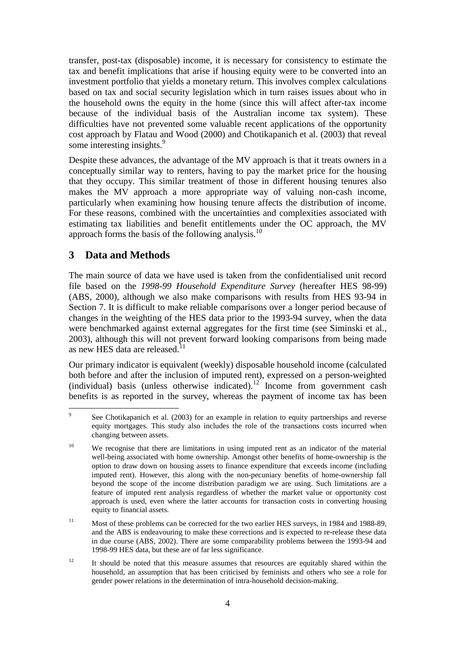transfer, post-tax (disposable) income, it is necessary for consistency to estimate the tax and benefit implications that arise if housing equity were to be converted into an investment portfolio that yields a monetary return. This involves complex calculations based on tax and social security legislation which in turn raises issues about who in the household owns the equity in the home (since this will affect after-tax income because of the individual basis of the Australian income tax system). These difficulties have not prevented some valuable recent applications of the opportunity cost approach by Flatau and Wood (2000) and Chotikapanich et al. (2003) that reveal some interesting insights.<sup>9</sup>

Despite these advances, the advantage of the MV approach is that it treats owners in a conceptually similar way to renters, having to pay the market price for the housing that they occupy. This similar treatment of those in different housing tenures also makes the MV approach a more appropriate way of valuing non-cash income, particularly when examining how housing tenure affects the distribution of income. For these reasons, combined with the uncertainties and complexities associated with estimating tax liabilities and benefit entitlements under the OC approach, the MV approach forms the basis of the following analysis.10

## **3 Data and Methods**

The main source of data we have used is taken from the confidentialised unit record file based on the *1998-99 Household Expenditure Survey* (hereafter HES 98-99) (ABS, 2000), although we also make comparisons with results from HES 93-94 in Section 7. It is difficult to make reliable comparisons over a longer period because of changes in the weighting of the HES data prior to the 1993-94 survey, when the data were benchmarked against external aggregates for the first time (see Siminski et al., 2003), although this will not prevent forward looking comparisons from being made as new HES data are released.<sup>1</sup>

Our primary indicator is equivalent (weekly) disposable household income (calculated both before and after the inclusion of imputed rent), expressed on a person-weighted (individual) basis (unless otherwise indicated).<sup>12</sup> Income from government cash benefits is as reported in the survey, whereas the payment of income tax has been

 $12$  It should be noted that this measure assumes that resources are equitably shared within the household, an assumption that has been criticised by feminists and others who see a role for gender power relations in the determination of intra-household decision-making.

<sup>–&</sup>lt;br>9 See Chotikapanich et al. (2003) for an example in relation to equity partnerships and reverse equity mortgages. This study also includes the role of the transactions costs incurred when changing between assets.

<sup>&</sup>lt;sup>10</sup> We recognise that there are limitations in using imputed rent as an indicator of the material well-being associated with home ownership. Amongst other benefits of home-ownership is the option to draw down on housing assets to finance expenditure that exceeds income (including imputed rent). However, this along with the non-pecuniary benefits of home-ownership fall beyond the scope of the income distribution paradigm we are using. Such limitations are a feature of imputed rent analysis regardless of whether the market value or opportunity cost approach is used, even where the latter accounts for transaction costs in converting housing equity to financial assets.

<sup>&</sup>lt;sup>11</sup> Most of these problems can be corrected for the two earlier HES surveys, in 1984 and 1988-89, and the ABS is endeavouring to make these corrections and is expected to re-release these data in due course (ABS, 2002). There are some comparability problems between the 1993-94 and 1998-99 HES data, but these are of far less significance.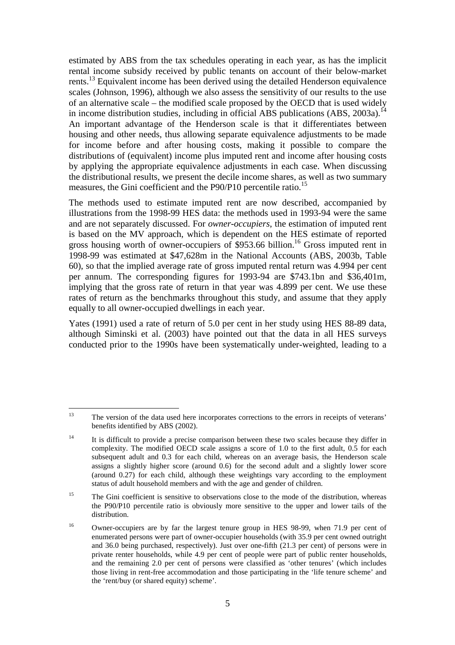estimated by ABS from the tax schedules operating in each year, as has the implicit rental income subsidy received by public tenants on account of their below-market rents.<sup>13</sup> Equivalent income has been derived using the detailed Henderson equivalence scales (Johnson, 1996), although we also assess the sensitivity of our results to the use of an alternative scale – the modified scale proposed by the OECD that is used widely in income distribution studies, including in official ABS publications (ABS, 2003a).<sup>14</sup> An important advantage of the Henderson scale is that it differentiates between housing and other needs, thus allowing separate equivalence adjustments to be made for income before and after housing costs, making it possible to compare the distributions of (equivalent) income plus imputed rent and income after housing costs by applying the appropriate equivalence adjustments in each case. When discussing the distributional results, we present the decile income shares, as well as two summary measures, the Gini coefficient and the P90/P10 percentile ratio.<sup>15</sup>

The methods used to estimate imputed rent are now described, accompanied by illustrations from the 1998-99 HES data: the methods used in 1993-94 were the same and are not separately discussed. For *owner-occupiers*, the estimation of imputed rent is based on the MV approach, which is dependent on the HES estimate of reported gross housing worth of owner-occupiers of \$953.66 billion.<sup>16</sup> Gross imputed rent in 1998-99 was estimated at \$47,628m in the National Accounts (ABS, 2003b, Table 60), so that the implied average rate of gross imputed rental return was 4.994 per cent per annum. The corresponding figures for 1993-94 are \$743.1bn and \$36,401m, implying that the gross rate of return in that year was 4.899 per cent. We use these rates of return as the benchmarks throughout this study, and assume that they apply equally to all owner-occupied dwellings in each year.

Yates (1991) used a rate of return of 5.0 per cent in her study using HES 88-89 data, although Siminski et al. (2003) have pointed out that the data in all HES surveys conducted prior to the 1990s have been systematically under-weighted, leading to a

 $13$ The version of the data used here incorporates corrections to the errors in receipts of veterans' benefits identified by ABS (2002).

<sup>&</sup>lt;sup>14</sup> It is difficult to provide a precise comparison between these two scales because they differ in complexity. The modified OECD scale assigns a score of 1.0 to the first adult, 0.5 for each subsequent adult and 0.3 for each child, whereas on an average basis, the Henderson scale assigns a slightly higher score (around 0.6) for the second adult and a slightly lower score (around 0.27) for each child, although these weightings vary according to the employment status of adult household members and with the age and gender of children.

<sup>&</sup>lt;sup>15</sup> The Gini coefficient is sensitive to observations close to the mode of the distribution, whereas the P90/P10 percentile ratio is obviously more sensitive to the upper and lower tails of the distribution.

<sup>&</sup>lt;sup>16</sup> Owner-occupiers are by far the largest tenure group in HES 98-99, when 71.9 per cent of enumerated persons were part of owner-occupier households (with 35.9 per cent owned outright and 36.0 being purchased, respectively). Just over one-fifth (21.3 per cent) of persons were in private renter households, while 4.9 per cent of people were part of public renter households, and the remaining 2.0 per cent of persons were classified as 'other tenures' (which includes those living in rent-free accommodation and those participating in the 'life tenure scheme' and the 'rent/buy (or shared equity) scheme'.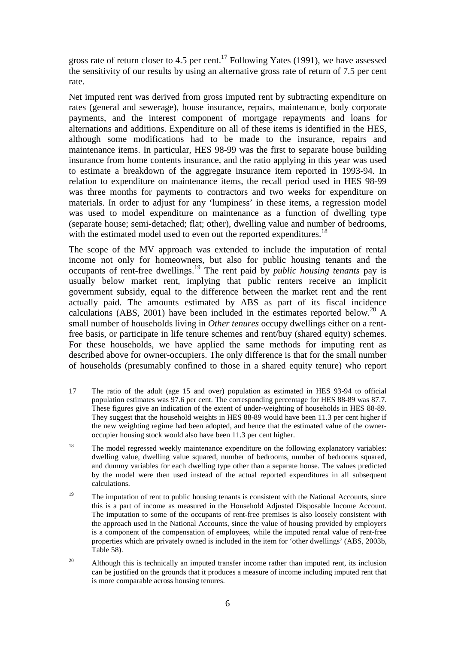gross rate of return closer to 4.5 per cent.<sup>17</sup> Following Yates (1991), we have assessed the sensitivity of our results by using an alternative gross rate of return of 7.5 per cent rate.

Net imputed rent was derived from gross imputed rent by subtracting expenditure on rates (general and sewerage), house insurance, repairs, maintenance, body corporate payments, and the interest component of mortgage repayments and loans for alternations and additions. Expenditure on all of these items is identified in the HES, although some modifications had to be made to the insurance, repairs and maintenance items. In particular, HES 98-99 was the first to separate house building insurance from home contents insurance, and the ratio applying in this year was used to estimate a breakdown of the aggregate insurance item reported in 1993-94. In relation to expenditure on maintenance items, the recall period used in HES 98-99 was three months for payments to contractors and two weeks for expenditure on materials. In order to adjust for any 'lumpiness' in these items, a regression model was used to model expenditure on maintenance as a function of dwelling type (separate house; semi-detached; flat; other), dwelling value and number of bedrooms, with the estimated model used to even out the reported expenditures.<sup>18</sup>

The scope of the MV approach was extended to include the imputation of rental income not only for homeowners, but also for public housing tenants and the occupants of rent-free dwellings.19 The rent paid by *public housing tenants* pay is usually below market rent, implying that public renters receive an implicit government subsidy, equal to the difference between the market rent and the rent actually paid. The amounts estimated by ABS as part of its fiscal incidence calculations (ABS, 2001) have been included in the estimates reported below.<sup>20</sup> A small number of households living in *Other tenures* occupy dwellings either on a rentfree basis, or participate in life tenure schemes and rent/buy (shared equity) schemes. For these households, we have applied the same methods for imputing rent as described above for owner-occupiers. The only difference is that for the small number of households (presumably confined to those in a shared equity tenure) who report

 $17$ 17 The ratio of the adult (age 15 and over) population as estimated in HES 93-94 to official population estimates was 97.6 per cent. The corresponding percentage for HES 88-89 was 87.7. These figures give an indication of the extent of under-weighting of households in HES 88-89. They suggest that the household weights in HES 88-89 would have been 11.3 per cent higher if the new weighting regime had been adopted, and hence that the estimated value of the owneroccupier housing stock would also have been 11.3 per cent higher.

<sup>&</sup>lt;sup>18</sup> The model regressed weekly maintenance expenditure on the following explanatory variables: dwelling value, dwelling value squared, number of bedrooms, number of bedrooms squared, and dummy variables for each dwelling type other than a separate house. The values predicted by the model were then used instead of the actual reported expenditures in all subsequent calculations.

 $19$  The imputation of rent to public housing tenants is consistent with the National Accounts, since this is a part of income as measured in the Household Adjusted Disposable Income Account. The imputation to some of the occupants of rent-free premises is also loosely consistent with the approach used in the National Accounts, since the value of housing provided by employers is a component of the compensation of employees, while the imputed rental value of rent-free properties which are privately owned is included in the item for 'other dwellings' (ABS, 2003b, Table 58).

<sup>&</sup>lt;sup>20</sup> Although this is technically an imputed transfer income rather than imputed rent, its inclusion can be justified on the grounds that it produces a measure of income including imputed rent that is more comparable across housing tenures.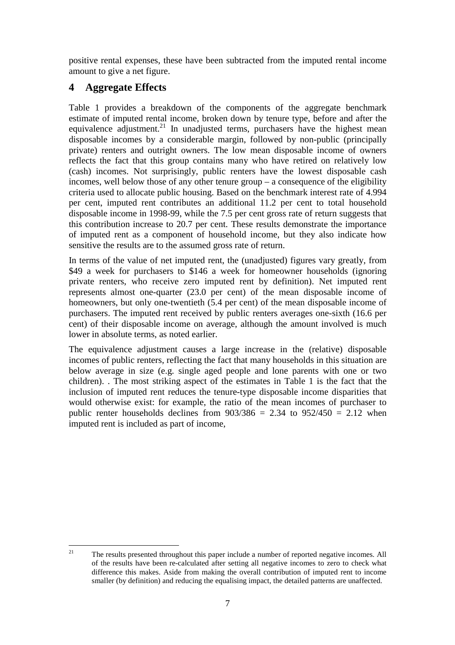positive rental expenses, these have been subtracted from the imputed rental income amount to give a net figure.

## **4 Aggregate Effects**

Table 1 provides a breakdown of the components of the aggregate benchmark estimate of imputed rental income, broken down by tenure type, before and after the equivalence adjustment.<sup>21</sup> In unadjusted terms, purchasers have the highest mean disposable incomes by a considerable margin, followed by non-public (principally private) renters and outright owners. The low mean disposable income of owners reflects the fact that this group contains many who have retired on relatively low (cash) incomes. Not surprisingly, public renters have the lowest disposable cash incomes, well below those of any other tenure group – a consequence of the eligibility criteria used to allocate public housing. Based on the benchmark interest rate of 4.994 per cent, imputed rent contributes an additional 11.2 per cent to total household disposable income in 1998-99, while the 7.5 per cent gross rate of return suggests that this contribution increase to 20.7 per cent. These results demonstrate the importance of imputed rent as a component of household income, but they also indicate how sensitive the results are to the assumed gross rate of return.

In terms of the value of net imputed rent, the (unadjusted) figures vary greatly, from \$49 a week for purchasers to \$146 a week for homeowner households (ignoring private renters, who receive zero imputed rent by definition). Net imputed rent represents almost one-quarter (23.0 per cent) of the mean disposable income of homeowners, but only one-twentieth (5.4 per cent) of the mean disposable income of purchasers. The imputed rent received by public renters averages one-sixth (16.6 per cent) of their disposable income on average, although the amount involved is much lower in absolute terms, as noted earlier.

The equivalence adjustment causes a large increase in the (relative) disposable incomes of public renters, reflecting the fact that many households in this situation are below average in size (e.g. single aged people and lone parents with one or two children). . The most striking aspect of the estimates in Table 1 is the fact that the inclusion of imputed rent reduces the tenure-type disposable income disparities that would otherwise exist: for example, the ratio of the mean incomes of purchaser to public renter households declines from  $903/386 = 2.34$  to  $952/450 = 2.12$  when imputed rent is included as part of income,

 $21$ 21 The results presented throughout this paper include a number of reported negative incomes. All of the results have been re-calculated after setting all negative incomes to zero to check what difference this makes. Aside from making the overall contribution of imputed rent to income smaller (by definition) and reducing the equalising impact, the detailed patterns are unaffected.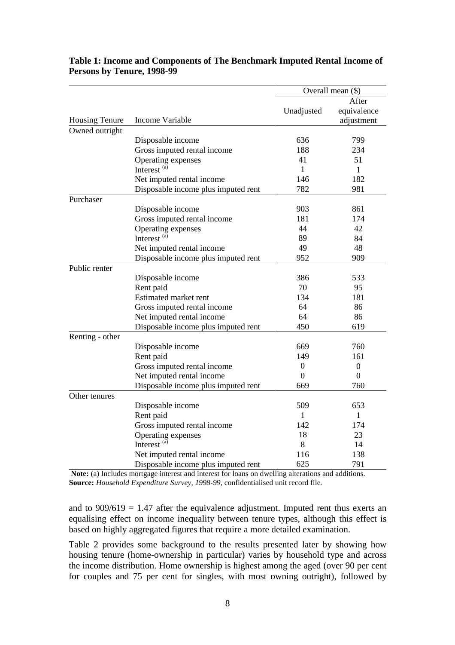|                       |                                     |                  | Overall mean (\$)                  |
|-----------------------|-------------------------------------|------------------|------------------------------------|
| <b>Housing Tenure</b> | Income Variable                     | Unadjusted       | After<br>equivalence<br>adjustment |
| Owned outright        |                                     |                  |                                    |
|                       | Disposable income                   | 636              | 799                                |
|                       | Gross imputed rental income         | 188              | 234                                |
|                       | Operating expenses                  | 41               | 51                                 |
|                       | Interest <sup>(a)</sup>             | $\mathbf{1}$     | $\mathbf{1}$                       |
|                       | Net imputed rental income           | 146              | 182                                |
|                       | Disposable income plus imputed rent | 782              | 981                                |
| Purchaser             |                                     |                  |                                    |
|                       | Disposable income                   | 903              | 861                                |
|                       | Gross imputed rental income         | 181              | 174                                |
|                       | Operating expenses                  | 44               | 42                                 |
|                       | Interest <sup>(a)</sup>             | 89               | 84                                 |
|                       | Net imputed rental income           | 49               | 48                                 |
|                       | Disposable income plus imputed rent | 952              | 909                                |
| Public renter         |                                     |                  |                                    |
|                       | Disposable income                   | 386              | 533                                |
|                       | Rent paid                           | 70               | 95                                 |
|                       | <b>Estimated market rent</b>        | 134              | 181                                |
|                       | Gross imputed rental income         | 64               | 86                                 |
|                       | Net imputed rental income           | 64               | 86                                 |
|                       | Disposable income plus imputed rent | 450              | 619                                |
| Renting - other       |                                     |                  |                                    |
|                       | Disposable income                   | 669              | 760                                |
|                       | Rent paid                           | 149              | 161                                |
|                       | Gross imputed rental income         | $\boldsymbol{0}$ | $\boldsymbol{0}$                   |
|                       | Net imputed rental income           | $\Omega$         | $\overline{0}$                     |
|                       | Disposable income plus imputed rent | 669              | 760                                |
| Other tenures         |                                     |                  |                                    |
|                       | Disposable income                   | 509              | 653                                |
|                       | Rent paid                           | 1                | $\mathbf{1}$                       |
|                       | Gross imputed rental income         | 142              | 174                                |
|                       | Operating expenses                  | 18               | 23                                 |
|                       | Interest <sup>(a)</sup>             | 8                | 14                                 |
|                       | Net imputed rental income           | 116              | 138                                |
|                       | Disposable income plus imputed rent | 625              | 791                                |

#### **Table 1: Income and Components of The Benchmark Imputed Rental Income of Persons by Tenure, 1998-99**

**Note:** (a) Includes mortgage interest and interest for loans on dwelling alterations and additions. **Source:** *Household Expenditure Survey, 1998-99,* confidentialised unit record file*.*

and to  $909/619 = 1.47$  after the equivalence adjustment. Imputed rent thus exerts an equalising effect on income inequality between tenure types, although this effect is based on highly aggregated figures that require a more detailed examination.

Table 2 provides some background to the results presented later by showing how housing tenure (home-ownership in particular) varies by household type and across the income distribution. Home ownership is highest among the aged (over 90 per cent for couples and 75 per cent for singles, with most owning outright), followed by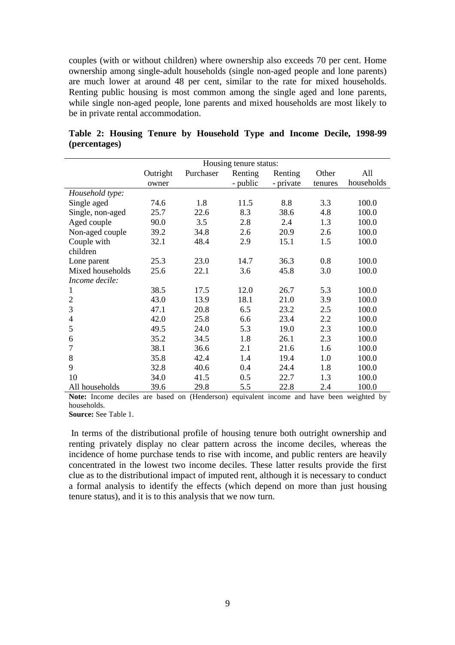couples (with or without children) where ownership also exceeds 70 per cent. Home ownership among single-adult households (single non-aged people and lone parents) are much lower at around 48 per cent, similar to the rate for mixed households. Renting public housing is most common among the single aged and lone parents, while single non-aged people, lone parents and mixed households are most likely to be in private rental accommodation.

|                  |          |           | Housing tenure status: |           |         |            |
|------------------|----------|-----------|------------------------|-----------|---------|------------|
|                  | Outright | Purchaser | Renting                | Renting   | Other   | All        |
|                  | owner    |           | - public               | - private | tenures | households |
| Household type:  |          |           |                        |           |         |            |
| Single aged      | 74.6     | 1.8       | 11.5                   | 8.8       | 3.3     | 100.0      |
| Single, non-aged | 25.7     | 22.6      | 8.3                    | 38.6      | 4.8     | 100.0      |
| Aged couple      | 90.0     | 3.5       | 2.8                    | 2.4       | 1.3     | 100.0      |
| Non-aged couple  | 39.2     | 34.8      | 2.6                    | 20.9      | 2.6     | 100.0      |
| Couple with      | 32.1     | 48.4      | 2.9                    | 15.1      | 1.5     | 100.0      |
| children         |          |           |                        |           |         |            |
| Lone parent      | 25.3     | 23.0      | 14.7                   | 36.3      | 0.8     | 100.0      |
| Mixed households | 25.6     | 22.1      | 3.6                    | 45.8      | 3.0     | 100.0      |
| Income decile:   |          |           |                        |           |         |            |
| 1                | 38.5     | 17.5      | 12.0                   | 26.7      | 5.3     | 100.0      |
| 2                | 43.0     | 13.9      | 18.1                   | 21.0      | 3.9     | 100.0      |
| 3                | 47.1     | 20.8      | 6.5                    | 23.2      | 2.5     | 100.0      |
| 4                | 42.0     | 25.8      | 6.6                    | 23.4      | 2.2     | 100.0      |
| 5                | 49.5     | 24.0      | 5.3                    | 19.0      | 2.3     | 100.0      |
| 6                | 35.2     | 34.5      | 1.8                    | 26.1      | 2.3     | 100.0      |
| 7                | 38.1     | 36.6      | 2.1                    | 21.6      | 1.6     | 100.0      |
| 8                | 35.8     | 42.4      | 1.4                    | 19.4      | 1.0     | 100.0      |
| 9                | 32.8     | 40.6      | 0.4                    | 24.4      | 1.8     | 100.0      |
| 10               | 34.0     | 41.5      | 0.5                    | 22.7      | 1.3     | 100.0      |
| All households   | 39.6     | 29.8      | 5.5                    | 22.8      | 2.4     | 100.0      |

**Table 2: Housing Tenure by Household Type and Income Decile, 1998-99 (percentages)** 

Note: Income deciles are based on (Henderson) equivalent income and have been weighted by households.

**Source:** See Table 1.

 In terms of the distributional profile of housing tenure both outright ownership and renting privately display no clear pattern across the income deciles, whereas the incidence of home purchase tends to rise with income, and public renters are heavily concentrated in the lowest two income deciles. These latter results provide the first clue as to the distributional impact of imputed rent, although it is necessary to conduct a formal analysis to identify the effects (which depend on more than just housing tenure status), and it is to this analysis that we now turn.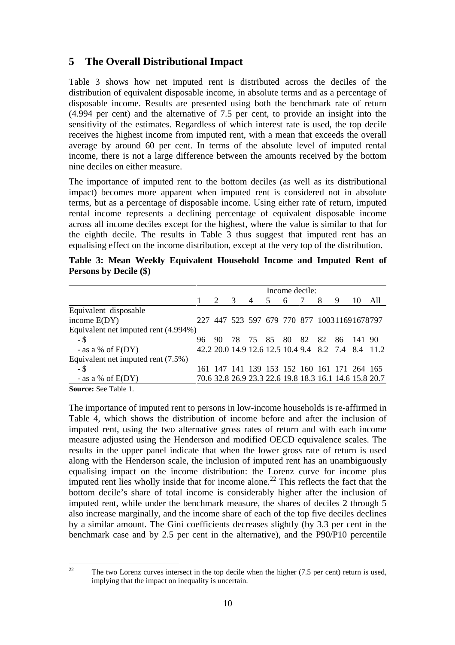## **5 The Overall Distributional Impact**

Table 3 shows how net imputed rent is distributed across the deciles of the distribution of equivalent disposable income, in absolute terms and as a percentage of disposable income. Results are presented using both the benchmark rate of return (4.994 per cent) and the alternative of 7.5 per cent, to provide an insight into the sensitivity of the estimates. Regardless of which interest rate is used, the top decile receives the highest income from imputed rent, with a mean that exceeds the overall average by around 60 per cent. In terms of the absolute level of imputed rental income, there is not a large difference between the amounts received by the bottom nine deciles on either measure.

The importance of imputed rent to the bottom deciles (as well as its distributional impact) becomes more apparent when imputed rent is considered not in absolute terms, but as a percentage of disposable income. Using either rate of return, imputed rental income represents a declining percentage of equivalent disposable income across all income deciles except for the highest, where the value is similar to that for the eighth decile. The results in Table 3 thus suggest that imputed rent has an equalising effect on the income distribution, except at the very top of the distribution.

|                               |  | Table 3: Mean Weekly Equivalent Household Income and Imputed Rent of |  |  |  |
|-------------------------------|--|----------------------------------------------------------------------|--|--|--|
| <b>Persons by Decile (\$)</b> |  |                                                                      |  |  |  |

|                                      | Income decile: |                                             |     |                |   |     |  |   |                 |    |                                                        |
|--------------------------------------|----------------|---------------------------------------------|-----|----------------|---|-----|--|---|-----------------|----|--------------------------------------------------------|
|                                      |                |                                             | - 3 | $\overline{4}$ | 5 | - 6 |  | 8 | 9               | 10 | All                                                    |
| Equivalent disposable                |                |                                             |     |                |   |     |  |   |                 |    |                                                        |
| income $E(DY)$                       |                | 227 447 523 597 679 770 877 100311691678797 |     |                |   |     |  |   |                 |    |                                                        |
| Equivalent net imputed rent (4.994%) |                |                                             |     |                |   |     |  |   |                 |    |                                                        |
| - \$                                 | 96.            | 90.                                         |     | 78 75 85 80    |   |     |  |   | 82 82 86 141 90 |    |                                                        |
| - as a % of $E(DY)$                  |                |                                             |     |                |   |     |  |   |                 |    | 42.2 20.0 14.9 12.6 12.5 10.4 9.4 8.2 7.4 8.4 11.2     |
| Equivalent net imputed rent (7.5%)   |                |                                             |     |                |   |     |  |   |                 |    |                                                        |
| - \$                                 |                | 161 147 141 139 153 152 160 161 171 264 165 |     |                |   |     |  |   |                 |    |                                                        |
| - as a % of $E(DY)$                  |                |                                             |     |                |   |     |  |   |                 |    | 70.6 32.8 26.9 23.3 22.6 19.8 18.3 16.1 14.6 15.8 20.7 |
|                                      |                |                                             |     |                |   |     |  |   |                 |    |                                                        |

**Source:** See Table 1.

The importance of imputed rent to persons in low-income households is re-affirmed in Table 4, which shows the distribution of income before and after the inclusion of imputed rent, using the two alternative gross rates of return and with each income measure adjusted using the Henderson and modified OECD equivalence scales. The results in the upper panel indicate that when the lower gross rate of return is used along with the Henderson scale, the inclusion of imputed rent has an unambiguously equalising impact on the income distribution: the Lorenz curve for income plus imputed rent lies wholly inside that for income alone.<sup>22</sup> This reflects the fact that the bottom decile's share of total income is considerably higher after the inclusion of imputed rent, while under the benchmark measure, the shares of deciles 2 through 5 also increase marginally, and the income share of each of the top five deciles declines by a similar amount. The Gini coefficients decreases slightly (by 3.3 per cent in the benchmark case and by 2.5 per cent in the alternative), and the P90/P10 percentile

 $22$ 22 The two Lorenz curves intersect in the top decile when the higher (7.5 per cent) return is used, implying that the impact on inequality is uncertain.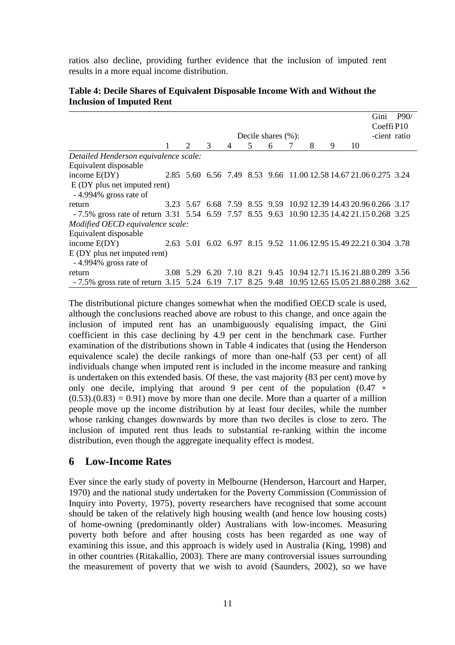ratios also decline, providing further evidence that the inclusion of imputed rent results in a more equal income distribution.

|                                                                                             |           |   |           |   |                       |   |   |   |    | Gini                                                             | P90/ |
|---------------------------------------------------------------------------------------------|-----------|---|-----------|---|-----------------------|---|---|---|----|------------------------------------------------------------------|------|
|                                                                                             |           |   |           |   |                       |   |   |   |    | Coeffi <sub>P10</sub>                                            |      |
|                                                                                             |           |   |           |   | Decile shares $(\%):$ |   |   |   |    | -cient ratio                                                     |      |
|                                                                                             | 2         | 3 | 4         | 5 | 6                     | 7 | 8 | 9 | 10 |                                                                  |      |
| Detailed Henderson equivalence scale:                                                       |           |   |           |   |                       |   |   |   |    |                                                                  |      |
| Equivalent disposable                                                                       |           |   |           |   |                       |   |   |   |    |                                                                  |      |
| income $E(DY)$                                                                              |           |   |           |   |                       |   |   |   |    | 2.85 5.60 6.56 7.49 8.53 9.66 11.00 12.58 14.67 21.06 0.275 3.24 |      |
| E (DY plus net imputed rent)                                                                |           |   |           |   |                       |   |   |   |    |                                                                  |      |
| -4.994% gross rate of                                                                       |           |   |           |   |                       |   |   |   |    |                                                                  |      |
| return                                                                                      |           |   |           |   |                       |   |   |   |    | 3.23 5.67 6.68 7.59 8.55 9.59 10.92 12.39 14.43 20.96 0.266 3.17 |      |
| -7.5% gross rate of return 3.31 5.54 6.59 7.57 8.55 9.63 10.90 12.35 14.42 21.15 0.268 3.25 |           |   |           |   |                       |   |   |   |    |                                                                  |      |
| Modified OECD equivalence scale:                                                            |           |   |           |   |                       |   |   |   |    |                                                                  |      |
| Equivalent disposable                                                                       |           |   |           |   |                       |   |   |   |    |                                                                  |      |
| income $E(DY)$                                                                              |           |   |           |   |                       |   |   |   |    | 2.63 5.01 6.02 6.97 8.15 9.52 11.06 12.95 15.49 22.21 0.304 3.78 |      |
| $E$ (DY plus net imputed rent)                                                              |           |   |           |   |                       |   |   |   |    |                                                                  |      |
| -4.994% gross rate of                                                                       |           |   |           |   |                       |   |   |   |    |                                                                  |      |
| return                                                                                      | 3.08 5.29 |   | 6.20 7.10 |   |                       |   |   |   |    | 8.21 9.45 10.94 12.71 15.16 21.88 0.289 3.56                     |      |
| -7.5% gross rate of return 3.15 5.24 6.19 7.17 8.25 9.48 10.95 12.65 15.05 21.88 0.288 3.62 |           |   |           |   |                       |   |   |   |    |                                                                  |      |

#### **Table 4: Decile Shares of Equivalent Disposable Income With and Without the Inclusion of Imputed Rent**

The distributional picture changes somewhat when the modified OECD scale is used, although the conclusions reached above are robust to this change, and once again the inclusion of imputed rent has an unambiguously equalising impact, the Gini coefficient in this case declining by 4.9 per cent in the benchmark case. Further examination of the distributions shown in Table 4 indicates that (using the Henderson equivalence scale) the decile rankings of more than one-half (53 per cent) of all individuals change when imputed rent is included in the income measure and ranking is undertaken on this extended basis. Of these, the vast majority (83 per cent) move by only one decile, implying that around 9 per cent of the population  $(0.47 +$  $(0.53)(0.83) = 0.91$  move by more than one decile. More than a quarter of a million people move up the income distribution by at least four deciles, while the number whose ranking changes downwards by more than two deciles is close to zero. The inclusion of imputed rent thus leads to substantial re-ranking within the income distribution, even though the aggregate inequality effect is modest.

#### **6 Low-Income Rates**

Ever since the early study of poverty in Melbourne (Henderson, Harcourt and Harper, 1970) and the national study undertaken for the Poverty Commission (Commission of Inquiry into Poverty, 1975), poverty researchers have recognised that some account should be taken of the relatively high housing wealth (and hence low housing costs) of home-owning (predominantly older) Australians with low-incomes. Measuring poverty both before and after housing costs has been regarded as one way of examining this issue, and this approach is widely used in Australia (King, 1998) and in other countries (Ritakallio, 2003). There are many controversial issues surrounding the measurement of poverty that we wish to avoid (Saunders, 2002), so we have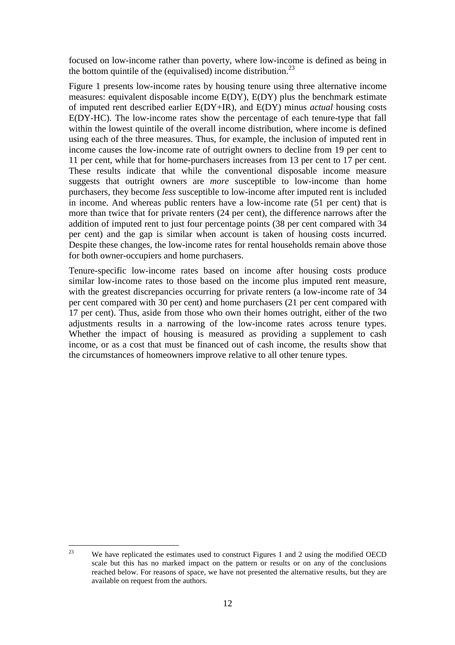focused on low-income rather than poverty, where low-income is defined as being in the bottom quintile of the (equivalised) income distribution.<sup>23</sup>

Figure 1 presents low-income rates by housing tenure using three alternative income measures: equivalent disposable income E(DY), E(DY) plus the benchmark estimate of imputed rent described earlier E(DY+IR), and E(DY) minus *actual* housing costs E(DY-HC). The low-income rates show the percentage of each tenure-type that fall within the lowest quintile of the overall income distribution, where income is defined using each of the three measures. Thus, for example, the inclusion of imputed rent in income causes the low-income rate of outright owners to decline from 19 per cent to 11 per cent, while that for home-purchasers increases from 13 per cent to 17 per cent. These results indicate that while the conventional disposable income measure suggests that outright owners are *more* susceptible to low-income than home purchasers, they become *less* susceptible to low-income after imputed rent is included in income. And whereas public renters have a low-income rate (51 per cent) that is more than twice that for private renters (24 per cent), the difference narrows after the addition of imputed rent to just four percentage points (38 per cent compared with 34 per cent) and the gap is similar when account is taken of housing costs incurred. Despite these changes, the low-income rates for rental households remain above those for both owner-occupiers and home purchasers.

Tenure-specific low-income rates based on income after housing costs produce similar low-income rates to those based on the income plus imputed rent measure, with the greatest discrepancies occurring for private renters (a low-income rate of 34 per cent compared with 30 per cent) and home purchasers (21 per cent compared with 17 per cent). Thus, aside from those who own their homes outright, either of the two adjustments results in a narrowing of the low-income rates across tenure types. Whether the impact of housing is measured as providing a supplement to cash income, or as a cost that must be financed out of cash income, the results show that the circumstances of homeowners improve relative to all other tenure types.

 $23$ We have replicated the estimates used to construct Figures 1 and 2 using the modified OECD scale but this has no marked impact on the pattern or results or on any of the conclusions reached below. For reasons of space, we have not presented the alternative results, but they are available on request from the authors.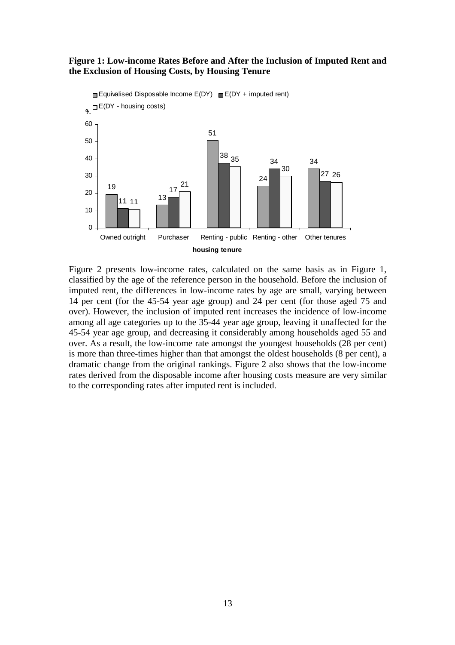#### **Figure 1: Low-income Rates Before and After the Inclusion of Imputed Rent and the Exclusion of Housing Costs, by Housing Tenure**



Figure 2 presents low-income rates, calculated on the same basis as in Figure 1, classified by the age of the reference person in the household. Before the inclusion of imputed rent, the differences in low-income rates by age are small, varying between 14 per cent (for the 45-54 year age group) and 24 per cent (for those aged 75 and over). However, the inclusion of imputed rent increases the incidence of low-income among all age categories up to the 35-44 year age group, leaving it unaffected for the 45-54 year age group, and decreasing it considerably among households aged 55 and over. As a result, the low-income rate amongst the youngest households (28 per cent) is more than three-times higher than that amongst the oldest households (8 per cent), a dramatic change from the original rankings. Figure 2 also shows that the low-income rates derived from the disposable income after housing costs measure are very similar to the corresponding rates after imputed rent is included.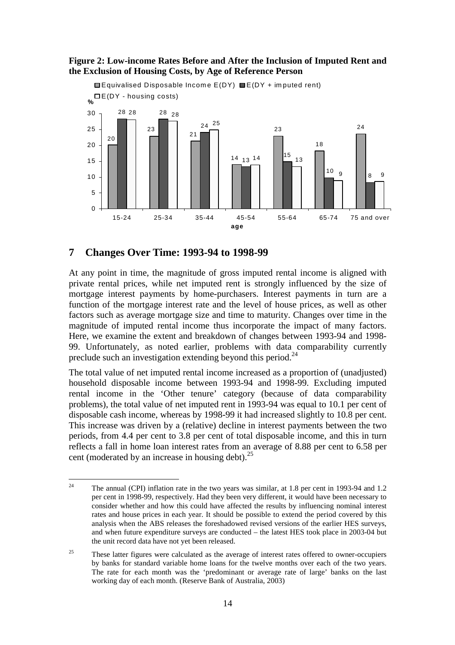

#### **Figure 2: Low-income Rates Before and After the Inclusion of Imputed Rent and the Exclusion of Housing Costs, by Age of Reference Person**

#### **7 Changes Over Time: 1993-94 to 1998-99**

At any point in time, the magnitude of gross imputed rental income is aligned with private rental prices, while net imputed rent is strongly influenced by the size of mortgage interest payments by home-purchasers. Interest payments in turn are a function of the mortgage interest rate and the level of house prices, as well as other factors such as average mortgage size and time to maturity. Changes over time in the magnitude of imputed rental income thus incorporate the impact of many factors. Here, we examine the extent and breakdown of changes between 1993-94 and 1998- 99. Unfortunately, as noted earlier, problems with data comparability currently preclude such an investigation extending beyond this period.<sup>24</sup>

The total value of net imputed rental income increased as a proportion of (unadjusted) household disposable income between 1993-94 and 1998-99. Excluding imputed rental income in the 'Other tenure' category (because of data comparability problems), the total value of net imputed rent in 1993-94 was equal to 10.1 per cent of disposable cash income, whereas by 1998-99 it had increased slightly to 10.8 per cent. This increase was driven by a (relative) decline in interest payments between the two periods, from 4.4 per cent to 3.8 per cent of total disposable income, and this in turn reflects a fall in home loan interest rates from an average of 8.88 per cent to 6.58 per cent (moderated by an increase in housing debt).  $2^5$ 

 $24$ 24 The annual (CPI) inflation rate in the two years was similar, at 1.8 per cent in 1993-94 and 1.2 per cent in 1998-99, respectively. Had they been very different, it would have been necessary to consider whether and how this could have affected the results by influencing nominal interest rates and house prices in each year. It should be possible to extend the period covered by this analysis when the ABS releases the foreshadowed revised versions of the earlier HES surveys, and when future expenditure surveys are conducted – the latest HES took place in 2003-04 but the unit record data have not yet been released.

 $25$  These latter figures were calculated as the average of interest rates offered to owner-occupiers by banks for standard variable home loans for the twelve months over each of the two years. The rate for each month was the 'predominant or average rate of large' banks on the last working day of each month. (Reserve Bank of Australia, 2003)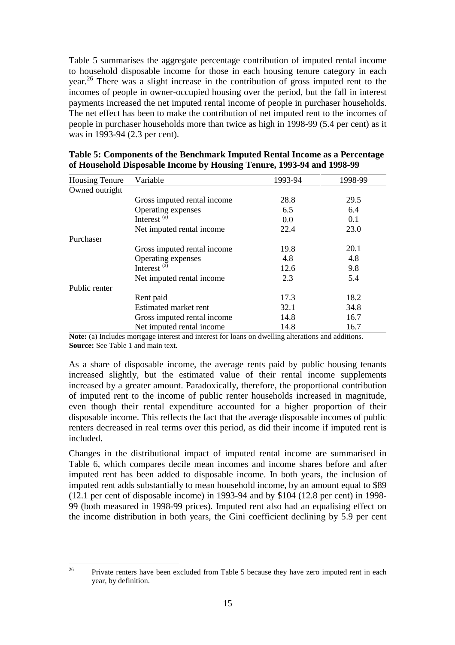Table 5 summarises the aggregate percentage contribution of imputed rental income to household disposable income for those in each housing tenure category in each year.26 There was a slight increase in the contribution of gross imputed rent to the incomes of people in owner-occupied housing over the period, but the fall in interest payments increased the net imputed rental income of people in purchaser households. The net effect has been to make the contribution of net imputed rent to the incomes of people in purchaser households more than twice as high in 1998-99 (5.4 per cent) as it was in 1993-94 (2.3 per cent).

| <b>Housing Tenure</b> | Variable                    | 1993-94 | 1998-99 |
|-----------------------|-----------------------------|---------|---------|
| Owned outright        |                             |         |         |
|                       | Gross imputed rental income | 28.8    | 29.5    |
|                       | Operating expenses          | 6.5     | 6.4     |
|                       | Interest <sup>(a)</sup>     | 0.0     | 0.1     |
|                       | Net imputed rental income   | 22.4    | 23.0    |
| Purchaser             |                             |         |         |
|                       | Gross imputed rental income | 19.8    | 20.1    |
|                       | Operating expenses          | 4.8     | 4.8     |
|                       | Interest <sup>(a)</sup>     | 12.6    | 9.8     |
|                       | Net imputed rental income   | 2.3     | 5.4     |
| Public renter         |                             |         |         |
|                       | Rent paid                   | 17.3    | 18.2    |
|                       | Estimated market rent       | 32.1    | 34.8    |
|                       | Gross imputed rental income | 14.8    | 16.7    |
|                       | Net imputed rental income   | 14.8    | 16.7    |

**Table 5: Components of the Benchmark Imputed Rental Income as a Percentage of Household Disposable Income by Housing Tenure, 1993-94 and 1998-99** 

**Note:** (a) Includes mortgage interest and interest for loans on dwelling alterations and additions. **Source:** See Table 1 and main text.

As a share of disposable income, the average rents paid by public housing tenants increased slightly, but the estimated value of their rental income supplements increased by a greater amount. Paradoxically, therefore, the proportional contribution of imputed rent to the income of public renter households increased in magnitude, even though their rental expenditure accounted for a higher proportion of their disposable income. This reflects the fact that the average disposable incomes of public renters decreased in real terms over this period, as did their income if imputed rent is included.

Changes in the distributional impact of imputed rental income are summarised in Table 6, which compares decile mean incomes and income shares before and after imputed rent has been added to disposable income. In both years, the inclusion of imputed rent adds substantially to mean household income, by an amount equal to \$89 (12.1 per cent of disposable income) in 1993-94 and by \$104 (12.8 per cent) in 1998- 99 (both measured in 1998-99 prices). Imputed rent also had an equalising effect on the income distribution in both years, the Gini coefficient declining by 5.9 per cent

 $26$ Private renters have been excluded from Table 5 because they have zero imputed rent in each year, by definition.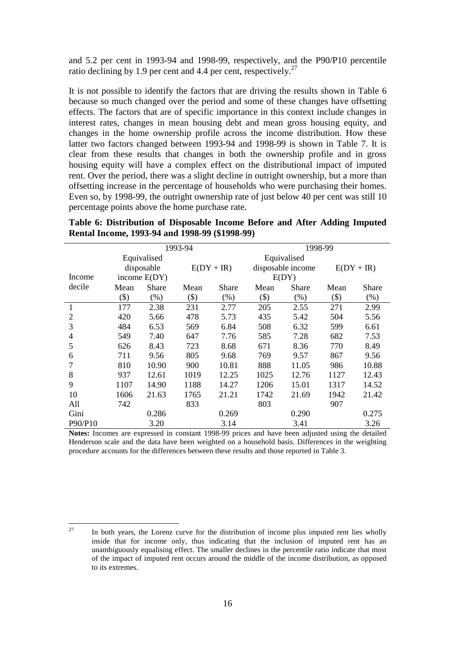and 5.2 per cent in 1993-94 and 1998-99, respectively, and the P90/P10 percentile ratio declining by 1.9 per cent and 4.4 per cent, respectively.<sup>27</sup>

It is not possible to identify the factors that are driving the results shown in Table 6 because so much changed over the period and some of these changes have offsetting effects. The factors that are of specific importance in this context include changes in interest rates, changes in mean housing debt and mean gross housing equity, and changes in the home ownership profile across the income distribution. How these latter two factors changed between 1993-94 and 1998-99 is shown in Table 7. It is clear from these results that changes in both the ownership profile and in gross housing equity will have a complex effect on the distributional impact of imputed rent. Over the period, there was a slight decline in outright ownership, but a more than offsetting increase in the percentage of households who were purchasing their homes. Even so, by 1998-99, the outright ownership rate of just below 40 per cent was still 10 percentage points above the home purchase rate.

**Table 6: Distribution of Disposable Income Before and After Adding Imputed Rental Income, 1993-94 and 1998-99 (\$1998-99)** 

|         | 1993-94 |                |         |              |             | 1998-99           |              |       |  |  |
|---------|---------|----------------|---------|--------------|-------------|-------------------|--------------|-------|--|--|
|         |         | Equivalised    |         |              | Equivalised |                   |              |       |  |  |
|         |         | disposable     |         | $E(DY + IR)$ |             | disposable income | $E(DY + IR)$ |       |  |  |
| Income  |         | income $E(DY)$ |         |              |             | E(DY)             |              |       |  |  |
| decile  | Mean    | Share          | Mean    | Share        | Mean        | <b>Share</b>      | Mean         | Share |  |  |
|         | $(\$)$  | $(\% )$        | $($ \$) | $(\%)$       | $($ \$)     | $(\% )$           | $(\$)$       | (%)   |  |  |
| 1       | 177     | 2.38           | 231     | 2.77         | 205         | 2.55              | 271          | 2.99  |  |  |
| 2       | 420     | 5.66           | 478     | 5.73         | 435         | 5.42              | 504          | 5.56  |  |  |
| 3       | 484     | 6.53           | 569     | 6.84         | 508         | 6.32              | 599          | 6.61  |  |  |
| 4       | 549     | 7.40           | 647     | 7.76         | 585         | 7.28              | 682          | 7.53  |  |  |
| 5       | 626     | 8.43           | 723     | 8.68         | 671         | 8.36              | 770          | 8.49  |  |  |
| 6       | 711     | 9.56           | 805     | 9.68         | 769         | 9.57              | 867          | 9.56  |  |  |
|         | 810     | 10.90          | 900     | 10.81        | 888         | 11.05             | 986          | 10.88 |  |  |
| 8       | 937     | 12.61          | 1019    | 12.25        | 1025        | 12.76             | 1127         | 12.43 |  |  |
| 9       | 1107    | 14.90          | 1188    | 14.27        | 1206        | 15.01             | 1317         | 14.52 |  |  |
| 10      | 1606    | 21.63          | 1765    | 21.21        | 1742        | 21.69             | 1942         | 21.42 |  |  |
| All     | 742     |                | 833     |              | 803         |                   | 907          |       |  |  |
| Gini    |         | 0.286          |         | 0.269        |             | 0.290             |              | 0.275 |  |  |
| P90/P10 |         | 3.20           |         | 3.14         |             | 3.41              |              | 3.26  |  |  |

**Notes:** Incomes are expressed in constant 1998-99 prices and have been adjusted using the detailed Henderson scale and the data have been weighted on a household basis. Differences in the weighting procedure accounts for the differences between these results and those reported in Table 3.

<sup>27</sup> In both years, the Lorenz curve for the distribution of income plus imputed rent lies wholly inside that for income only, thus indicating that the inclusion of imputed rent has an unambiguously equalising effect. The smaller declines in the percentile ratio indicate that most of the impact of imputed rent occurs around the middle of the income distribution, as opposed to its extremes.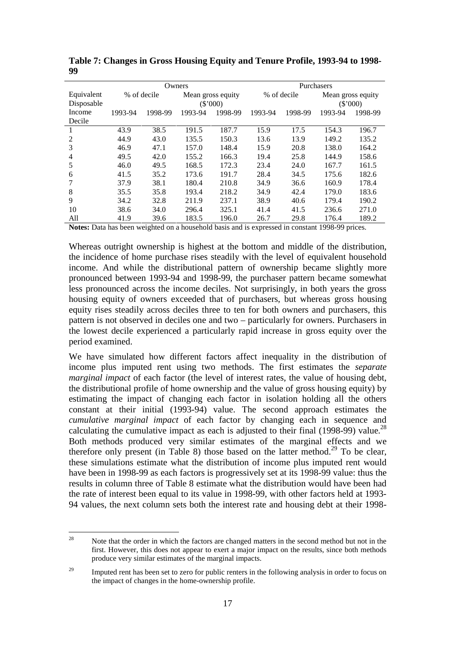|                          |         |             | Owners  |                                 | Purchasers |             |                               |         |  |
|--------------------------|---------|-------------|---------|---------------------------------|------------|-------------|-------------------------------|---------|--|
| Equivalent<br>Disposable |         | % of decile |         | Mean gross equity<br>$(\$'000)$ |            | % of decile | Mean gross equity<br>(\$'000) |         |  |
| Income                   | 1993-94 | 1998-99     | 1993-94 | 1998-99                         | 1993-94    | 1998-99     | 1993-94                       | 1998-99 |  |
| Decile                   |         |             |         |                                 |            |             |                               |         |  |
|                          | 43.9    | 38.5        | 191.5   | 187.7                           | 15.9       | 17.5        | 154.3                         | 196.7   |  |
| 2                        | 44.9    | 43.0        | 135.5   | 150.3                           | 13.6       | 13.9        | 149.2                         | 135.2   |  |
| 3                        | 46.9    | 47.1        | 157.0   | 148.4                           | 15.9       | 20.8        | 138.0                         | 164.2   |  |
| 4                        | 49.5    | 42.0        | 155.2   | 166.3                           | 19.4       | 25.8        | 144.9                         | 158.6   |  |
| 5                        | 46.0    | 49.5        | 168.5   | 172.3                           | 23.4       | 24.0        | 167.7                         | 161.5   |  |
| 6                        | 41.5    | 35.2        | 173.6   | 191.7                           | 28.4       | 34.5        | 175.6                         | 182.6   |  |
|                          | 37.9    | 38.1        | 180.4   | 210.8                           | 34.9       | 36.6        | 160.9                         | 178.4   |  |
| 8                        | 35.5    | 35.8        | 193.4   | 218.2                           | 34.9       | 42.4        | 179.0                         | 183.6   |  |
| 9                        | 34.2    | 32.8        | 211.9   | 237.1                           | 38.9       | 40.6        | 179.4                         | 190.2   |  |
| 10                       | 38.6    | 34.0        | 296.4   | 325.1                           | 41.4       | 41.5        | 236.6                         | 271.0   |  |
| All                      | 41.9    | 39.6        | 183.5   | 196.0                           | 26.7       | 29.8        | 176.4                         | 189.2   |  |

**Table 7: Changes in Gross Housing Equity and Tenure Profile, 1993-94 to 1998- 99** 

**Notes:** Data has been weighted on a household basis and is expressed in constant 1998-99 prices.

Whereas outright ownership is highest at the bottom and middle of the distribution, the incidence of home purchase rises steadily with the level of equivalent household income. And while the distributional pattern of ownership became slightly more pronounced between 1993-94 and 1998-99, the purchaser pattern became somewhat less pronounced across the income deciles. Not surprisingly, in both years the gross housing equity of owners exceeded that of purchasers, but whereas gross housing equity rises steadily across deciles three to ten for both owners and purchasers, this pattern is not observed in deciles one and two – particularly for owners. Purchasers in the lowest decile experienced a particularly rapid increase in gross equity over the period examined.

We have simulated how different factors affect inequality in the distribution of income plus imputed rent using two methods. The first estimates the *separate marginal impact* of each factor (the level of interest rates, the value of housing debt, the distributional profile of home ownership and the value of gross housing equity) by estimating the impact of changing each factor in isolation holding all the others constant at their initial (1993-94) value. The second approach estimates the *cumulative marginal impact* of each factor by changing each in sequence and calculating the cumulative impact as each is adjusted to their final (1998-99) value.<sup>28</sup> Both methods produced very similar estimates of the marginal effects and we therefore only present (in Table 8) those based on the latter method.<sup>29</sup> To be clear, these simulations estimate what the distribution of income plus imputed rent would have been in 1998-99 as each factors is progressively set at its 1998-99 value: thus the results in column three of Table 8 estimate what the distribution would have been had the rate of interest been equal to its value in 1998-99, with other factors held at 1993- 94 values, the next column sets both the interest rate and housing debt at their 1998-

<sup>28</sup> Note that the order in which the factors are changed matters in the second method but not in the first. However, this does not appear to exert a major impact on the results, since both methods produce very similar estimates of the marginal impacts.

<sup>&</sup>lt;sup>29</sup> Imputed rent has been set to zero for public renters in the following analysis in order to focus on the impact of changes in the home-ownership profile.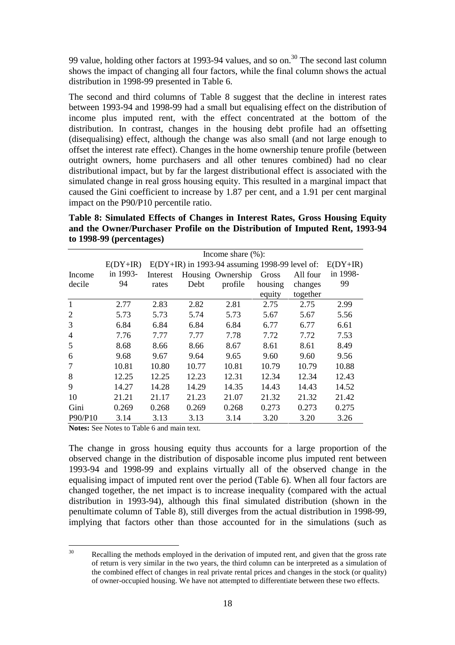99 value, holding other factors at 1993-94 values, and so on.<sup>30</sup> The second last column shows the impact of changing all four factors, while the final column shows the actual distribution in 1998-99 presented in Table 6.

The second and third columns of Table 8 suggest that the decline in interest rates between 1993-94 and 1998-99 had a small but equalising effect on the distribution of income plus imputed rent, with the effect concentrated at the bottom of the distribution. In contrast, changes in the housing debt profile had an offsetting (disequalising) effect, although the change was also small (and not large enough to offset the interest rate effect). Changes in the home ownership tenure profile (between outright owners, home purchasers and all other tenures combined) had no clear distributional impact, but by far the largest distributional effect is associated with the simulated change in real gross housing equity. This resulted in a marginal impact that caused the Gini coefficient to increase by 1.87 per cent, and a 1.91 per cent marginal impact on the P90/P10 percentile ratio.

**Table 8: Simulated Effects of Changes in Interest Rates, Gross Housing Equity and the Owner/Purchaser Profile on the Distribution of Imputed Rent, 1993-94 to 1998-99 (percentages)** 

|                |            | Income share $(\% )$ :                           |       |                   |         |          |          |  |  |  |  |
|----------------|------------|--------------------------------------------------|-------|-------------------|---------|----------|----------|--|--|--|--|
|                | $E(DY+IR)$ | $E(DY+IR)$ in 1993-94 assuming 1998-99 level of: |       |                   |         |          |          |  |  |  |  |
| Income         | in 1993-   | Interest                                         |       | Housing Ownership | Gross   | All four | in 1998- |  |  |  |  |
| decile         | 94         | rates                                            | Debt  | profile           | housing | changes  | 99       |  |  |  |  |
|                |            |                                                  |       |                   | equity  | together |          |  |  |  |  |
| $\mathbf{1}$   | 2.77       | 2.83                                             | 2.82  | 2.81              | 2.75    | 2.75     | 2.99     |  |  |  |  |
| 2              | 5.73       | 5.73                                             | 5.74  | 5.73              | 5.67    | 5.67     | 5.56     |  |  |  |  |
| 3              | 6.84       | 6.84                                             | 6.84  | 6.84              | 6.77    | 6.77     | 6.61     |  |  |  |  |
| $\overline{4}$ | 7.76       | 7.77                                             | 7.77  | 7.78              | 7.72    | 7.72     | 7.53     |  |  |  |  |
| 5              | 8.68       | 8.66                                             | 8.66  | 8.67              | 8.61    | 8.61     | 8.49     |  |  |  |  |
| 6              | 9.68       | 9.67                                             | 9.64  | 9.65              | 9.60    | 9.60     | 9.56     |  |  |  |  |
| 7              | 10.81      | 10.80                                            | 10.77 | 10.81             | 10.79   | 10.79    | 10.88    |  |  |  |  |
| 8              | 12.25      | 12.25                                            | 12.23 | 12.31             | 12.34   | 12.34    | 12.43    |  |  |  |  |
| 9              | 14.27      | 14.28                                            | 14.29 | 14.35             | 14.43   | 14.43    | 14.52    |  |  |  |  |
| 10             | 21.21      | 21.17                                            | 21.23 | 21.07             | 21.32   | 21.32    | 21.42    |  |  |  |  |
| Gini           | 0.269      | 0.268                                            | 0.269 | 0.268             | 0.273   | 0.273    | 0.275    |  |  |  |  |
| P90/P10        | 3.14       | 3.13                                             | 3.13  | 3.14              | 3.20    | 3.20     | 3.26     |  |  |  |  |

**Notes:** See Notes to Table 6 and main text.

The change in gross housing equity thus accounts for a large proportion of the observed change in the distribution of disposable income plus imputed rent between 1993-94 and 1998-99 and explains virtually all of the observed change in the equalising impact of imputed rent over the period (Table 6). When all four factors are changed together, the net impact is to increase inequality (compared with the actual distribution in 1993-94), although this final simulated distribution (shown in the penultimate column of Table 8), still diverges from the actual distribution in 1998-99, implying that factors other than those accounted for in the simulations (such as

 $30<sup>2</sup>$ 30 Recalling the methods employed in the derivation of imputed rent, and given that the gross rate of return is very similar in the two years, the third column can be interpreted as a simulation of the combined effect of changes in real private rental prices and changes in the stock (or quality) of owner-occupied housing. We have not attempted to differentiate between these two effects.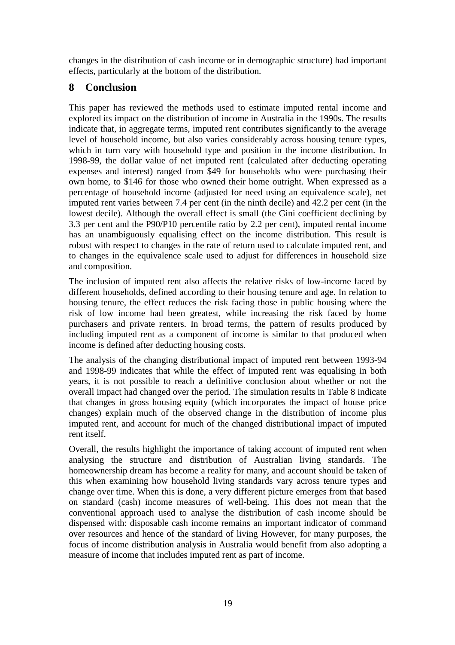changes in the distribution of cash income or in demographic structure) had important effects, particularly at the bottom of the distribution.

## **8 Conclusion**

This paper has reviewed the methods used to estimate imputed rental income and explored its impact on the distribution of income in Australia in the 1990s. The results indicate that, in aggregate terms, imputed rent contributes significantly to the average level of household income, but also varies considerably across housing tenure types, which in turn vary with household type and position in the income distribution. In 1998-99, the dollar value of net imputed rent (calculated after deducting operating expenses and interest) ranged from \$49 for households who were purchasing their own home, to \$146 for those who owned their home outright. When expressed as a percentage of household income (adjusted for need using an equivalence scale), net imputed rent varies between 7.4 per cent (in the ninth decile) and 42.2 per cent (in the lowest decile). Although the overall effect is small (the Gini coefficient declining by 3.3 per cent and the P90/P10 percentile ratio by 2.2 per cent), imputed rental income has an unambiguously equalising effect on the income distribution. This result is robust with respect to changes in the rate of return used to calculate imputed rent, and to changes in the equivalence scale used to adjust for differences in household size and composition.

The inclusion of imputed rent also affects the relative risks of low-income faced by different households, defined according to their housing tenure and age. In relation to housing tenure, the effect reduces the risk facing those in public housing where the risk of low income had been greatest, while increasing the risk faced by home purchasers and private renters. In broad terms, the pattern of results produced by including imputed rent as a component of income is similar to that produced when income is defined after deducting housing costs.

The analysis of the changing distributional impact of imputed rent between 1993-94 and 1998-99 indicates that while the effect of imputed rent was equalising in both years, it is not possible to reach a definitive conclusion about whether or not the overall impact had changed over the period. The simulation results in Table 8 indicate that changes in gross housing equity (which incorporates the impact of house price changes) explain much of the observed change in the distribution of income plus imputed rent, and account for much of the changed distributional impact of imputed rent itself.

Overall, the results highlight the importance of taking account of imputed rent when analysing the structure and distribution of Australian living standards. The homeownership dream has become a reality for many, and account should be taken of this when examining how household living standards vary across tenure types and change over time. When this is done, a very different picture emerges from that based on standard (cash) income measures of well-being. This does not mean that the conventional approach used to analyse the distribution of cash income should be dispensed with: disposable cash income remains an important indicator of command over resources and hence of the standard of living However, for many purposes, the focus of income distribution analysis in Australia would benefit from also adopting a measure of income that includes imputed rent as part of income.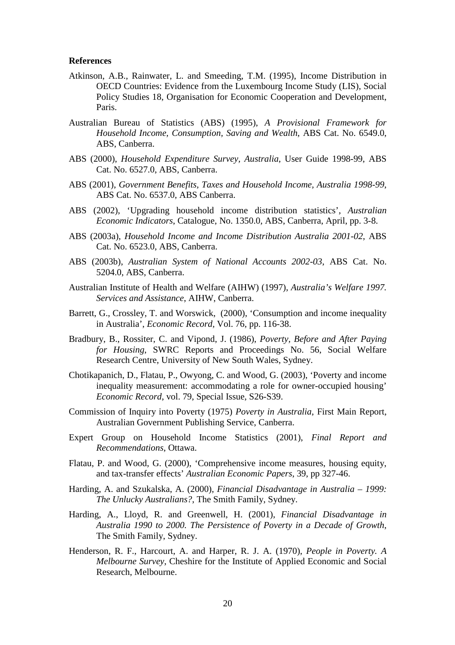#### **References**

- Atkinson, A.B., Rainwater, L. and Smeeding, T.M. (1995), Income Distribution in OECD Countries: Evidence from the Luxembourg Income Study (LIS), Social Policy Studies 18, Organisation for Economic Cooperation and Development, Paris.
- Australian Bureau of Statistics (ABS) (1995), *A Provisional Framework for Household Income, Consumption, Saving and Wealth*, ABS Cat. No. 6549.0, ABS, Canberra.
- ABS (2000), *Household Expenditure Survey, Australia*, User Guide 1998-99, ABS Cat. No. 6527.0, ABS, Canberra.
- ABS (2001), *Government Benefits, Taxes and Household Income, Australia 1998-99*, ABS Cat. No. 6537.0, ABS Canberra.
- ABS (2002), 'Upgrading household income distribution statistics', *Australian Economic Indicators*, Catalogue, No. 1350.0, ABS, Canberra, April, pp. 3-8.
- ABS (2003a), *Household Income and Income Distribution Australia 2001-02*, ABS Cat. No. 6523.0, ABS, Canberra.
- ABS (2003b), *Australian System of National Accounts 2002-03*, ABS Cat. No. 5204.0, ABS, Canberra.
- Australian Institute of Health and Welfare (AIHW) (1997), *Australia's Welfare 1997. Services and Assistance*, AIHW, Canberra.
- Barrett, G., Crossley, T. and Worswick, (2000), 'Consumption and income inequality in Australia', *Economic Record,* Vol. 76, pp. 116-38.
- Bradbury, B., Rossiter, C. and Vipond, J. (1986), *Poverty, Before and After Paying for Housing*, SWRC Reports and Proceedings No. 56, Social Welfare Research Centre, University of New South Wales, Sydney.
- Chotikapanich, D., Flatau, P., Owyong, C. and Wood, G. (2003), 'Poverty and income inequality measurement: accommodating a role for owner-occupied housing' *Economic Record*, vol. 79, Special Issue, S26-S39.
- Commission of Inquiry into Poverty (1975) *Poverty in Australia*, First Main Report, Australian Government Publishing Service, Canberra.
- Expert Group on Household Income Statistics (2001), *Final Report and Recommendations*, Ottawa.
- Flatau, P. and Wood, G. (2000), 'Comprehensive income measures, housing equity, and tax-transfer effects' *Australian Economic Papers*, 39, pp 327-46.
- Harding, A. and Szukalska, A. (2000), *Financial Disadvantage in Australia 1999: The Unlucky Australians?*, The Smith Family, Sydney.
- Harding, A., Lloyd, R. and Greenwell, H. (2001), *Financial Disadvantage in Australia 1990 to 2000. The Persistence of Poverty in a Decade of Growth*, The Smith Family, Sydney.
- Henderson, R. F., Harcourt, A. and Harper, R. J. A. (1970), *People in Poverty. A Melbourne Survey*, Cheshire for the Institute of Applied Economic and Social Research, Melbourne.